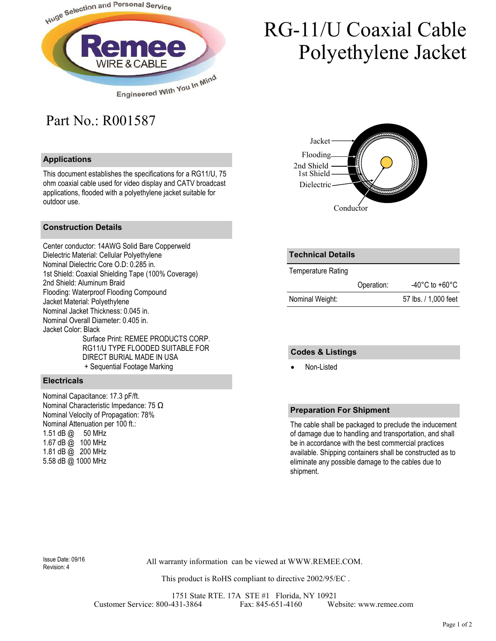

# RG-11/U Coaxial Cable Polyethylene Jacket

### Part No.: R001587

#### **Applications**

This document establishes the specifications for a RG11/U, 75 ohm coaxial cable used for video display and CATV broadcast applications, flooded with a polyethylene jacket suitable for outdoor use.

#### **Construction Details**

Center conductor: 14AWG Solid Bare Copperweld Dielectric Material: Cellular Polyethylene Nominal Dielectric Core O.D: 0.285 in. 1st Shield: Coaxial Shielding Tape (100% Coverage) 2nd Shield: Aluminum Braid Flooding: Waterproof Flooding Compound Jacket Material: Polyethylene Nominal Jacket Thickness: 0.045 in. Nominal Overall Diameter: 0.405 in. Jacket Color: Black Surface Print: REMEE PRODUCTS CORP. RG11/U TYPE FLOODED SUITABLE FOR DIRECT BURIAL MADE IN USA + Sequential Footage Marking

#### **Electricals**

Nominal Capacitance: 17.3 pF/ft. Nominal Characteristic Impedance: 75 Ω Nominal Velocity of Propagation: 78% Nominal Attenuation per 100 ft.: 1.51 dB @ 50 MHz 1.67 dB @ 100 MHz 1.81 dB  $\bar{\omega}$  200 MHz 5.58 dB @ 1000 MHz



| <b>Technical Details</b> |            |                      |
|--------------------------|------------|----------------------|
| Temperature Rating       |            |                      |
|                          | Operation: | -40°C to +60°C       |
| Nominal Weight:          |            | 57 lbs. / 1,000 feet |

#### **Codes & Listings**

• Non-Listed

#### **Preparation For Shipment**

The cable shall be packaged to preclude the inducement of damage due to handling and transportation, and shall be in accordance with the best commercial practices available. Shipping containers shall be constructed as to eliminate any possible damage to the cables due to shipment.

Revision: 4

All warranty information can be viewed at WWW.REMEE.COM. Issue Date: 09/16

This product is RoHS compliant to directive 2002/95/EC .

1751 State RTE. 17A STE #1 Florida, NY 10921 Customer Service: 800-431-3864 Fax: 845-651-4160 Website: www.remee.com